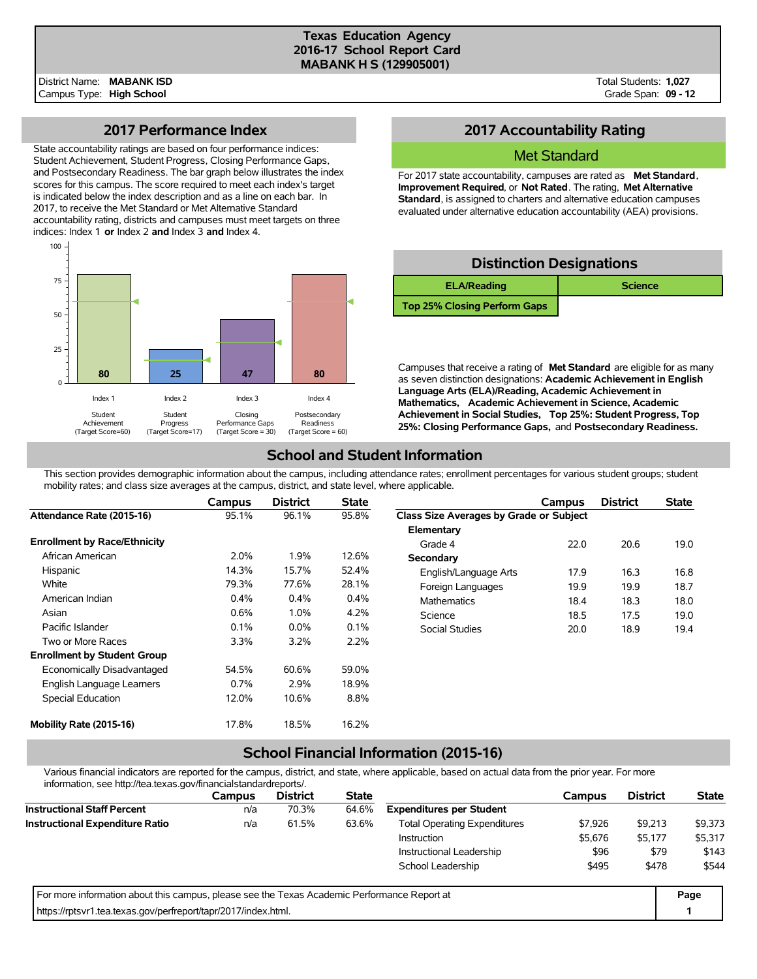#### **Texas Education Agency 2016-17 School Report Card MABANK H S (129905001)**

Total Students: **1,027** Grade Span: **09 - 12**

### **2017 Performance Index**

State accountability ratings are based on four performance indices: Student Achievement, Student Progress, Closing Performance Gaps, and Postsecondary Readiness. The bar graph below illustrates the index scores for this campus. The score required to meet each index's target is indicated below the index description and as a line on each bar. In 2017, to receive the Met Standard or Met Alternative Standard accountability rating, districts and campuses must meet targets on three indices: Index 1 **or** Index 2 **and** Index 3 **and** Index 4.



## **2017 Accountability Rating**

#### Met Standard

For 2017 state accountability, campuses are rated as **Met Standard**, **Improvement Required**, or **Not Rated**. The rating, **Met Alternative Standard**, is assigned to charters and alternative education campuses evaluated under alternative education accountability (AEA) provisions.

# **Distinction Designations ELA/Reading and <b>Science Top 25% Closing Perform Gaps**

Campuses that receive a rating of **Met Standard** are eligible for as many as seven distinction designations: **Academic Achievement in English Language Arts (ELA)/Reading, Academic Achievement in Mathematics, Academic Achievement in Science, Academic Achievement in Social Studies, Top 25%: Student Progress, Top 25%: Closing Performance Gaps,** and **Postsecondary Readiness.**

## **School and Student Information**

This section provides demographic information about the campus, including attendance rates; enrollment percentages for various student groups; student mobility rates; and class size averages at the campus, district, and state level, where applicable.

|                                     | Campus | <b>District</b> | <b>State</b> |                                         | Campus | <b>District</b> | <b>State</b> |
|-------------------------------------|--------|-----------------|--------------|-----------------------------------------|--------|-----------------|--------------|
| Attendance Rate (2015-16)           | 95.1%  | 96.1%           | 95.8%        | Class Size Averages by Grade or Subject |        |                 |              |
|                                     |        |                 |              | Elementary                              |        |                 |              |
| <b>Enrollment by Race/Ethnicity</b> |        |                 |              | Grade 4                                 | 22.0   | 20.6            | 19.0         |
| African American                    | 2.0%   | 1.9%            | 12.6%        | Secondary                               |        |                 |              |
| Hispanic                            | 14.3%  | 15.7%           | 52.4%        | English/Language Arts                   | 17.9   | 16.3            | 16.8         |
| White                               | 79.3%  | 77.6%           | 28.1%        | Foreign Languages                       | 19.9   | 19.9            | 18.7         |
| American Indian                     | 0.4%   | 0.4%            | 0.4%         | <b>Mathematics</b>                      | 18.4   | 18.3            | 18.0         |
| Asian                               | 0.6%   | 1.0%            | 4.2%         | Science                                 | 18.5   | 17.5            | 19.0         |
| Pacific Islander                    | 0.1%   | $0.0\%$         | 0.1%         | Social Studies                          | 20.0   | 18.9            | 19.4         |
| Two or More Races                   | 3.3%   | 3.2%            | 2.2%         |                                         |        |                 |              |
| <b>Enrollment by Student Group</b>  |        |                 |              |                                         |        |                 |              |
| Economically Disadvantaged          | 54.5%  | 60.6%           | 59.0%        |                                         |        |                 |              |
| English Language Learners           | 0.7%   | 2.9%            | 18.9%        |                                         |        |                 |              |
| Special Education                   | 12.0%  | 10.6%           | 8.8%         |                                         |        |                 |              |
| Mobility Rate (2015-16)             | 17.8%  | 18.5%           | 16.2%        |                                         |        |                 |              |

## **School Financial Information (2015-16)**

Various financial indicators are reported for the campus, district, and state, where applicable, based on actual data from the prior year. For more information, see http://tea.texas.gov/financialstandardreports/.

| illiofitiation, see http://tea.texas.gov/illialicialstandardieports/.                       |               |                 |              |                                     |         |                 |              |
|---------------------------------------------------------------------------------------------|---------------|-----------------|--------------|-------------------------------------|---------|-----------------|--------------|
|                                                                                             | <b>Campus</b> | <b>District</b> | <b>State</b> |                                     | Campus  | <b>District</b> | <b>State</b> |
| <b>Instructional Staff Percent</b>                                                          | n/a           | 70.3%           | 64.6%        | <b>Expenditures per Student</b>     |         |                 |              |
| <b>Instructional Expenditure Ratio</b>                                                      | n/a           | 61.5%           | 63.6%        | <b>Total Operating Expenditures</b> | \$7.926 | \$9,213         | \$9,373      |
|                                                                                             |               |                 |              | <b>Instruction</b>                  | \$5,676 | \$5,177         | \$5,317      |
|                                                                                             |               |                 |              | Instructional Leadership            | \$96    | \$79            | \$143        |
|                                                                                             |               |                 |              | School Leadership                   | \$495   | \$478           | \$544        |
| For more information about this campus, please see the Texas Academic Performance Report at |               |                 |              |                                     |         |                 |              |
| https://rptsvr1.tea.texas.gov/perfreport/tapr/2017/index.html.                              |               |                 |              |                                     |         |                 |              |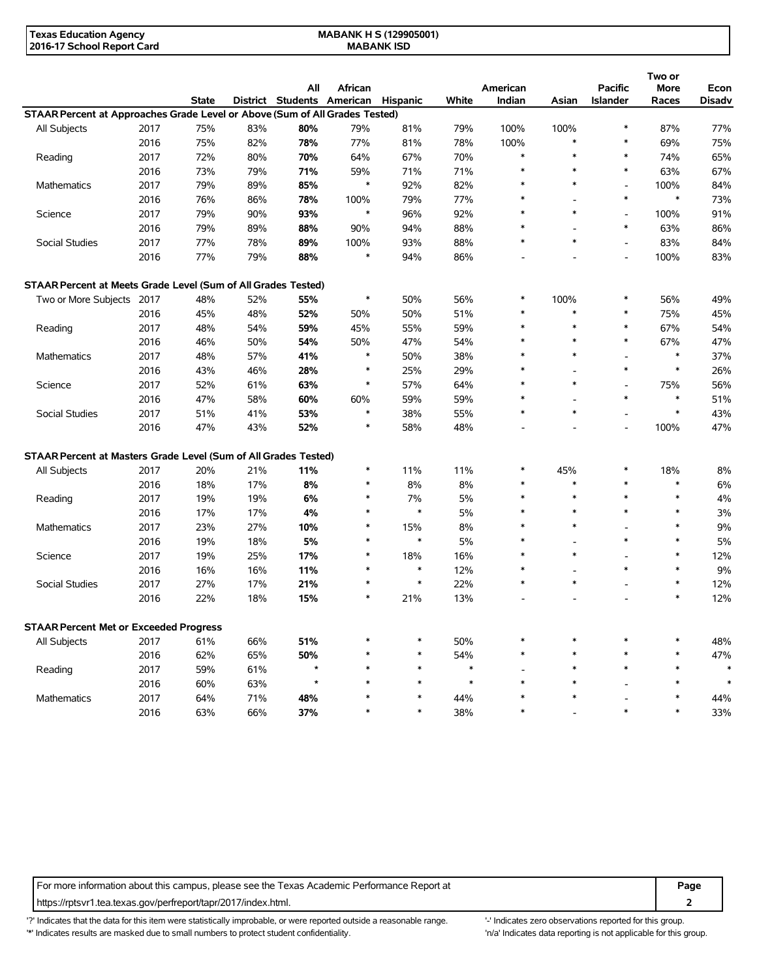| Texas Education Agency     | <b>MABANK H S (129905001)</b> |  |
|----------------------------|-------------------------------|--|
| 2016-17 School Report Card | <b>MABANK ISD</b>             |  |

|                                                                             |      |              |     |                            |         |          |        |          |                                    |                                    | Two or        |               |
|-----------------------------------------------------------------------------|------|--------------|-----|----------------------------|---------|----------|--------|----------|------------------------------------|------------------------------------|---------------|---------------|
|                                                                             |      |              |     | All                        | African |          |        | American |                                    | <b>Pacific</b>                     | <b>More</b>   | Econ          |
|                                                                             |      | <b>State</b> |     | District Students American |         | Hispanic | White  | Indian   | Asian                              | <b>Islander</b>                    | Races         | <b>Disadv</b> |
| STAAR Percent at Approaches Grade Level or Above (Sum of All Grades Tested) |      |              |     |                            |         |          |        |          |                                    |                                    |               |               |
| All Subjects                                                                | 2017 | 75%          | 83% | 80%                        | 79%     | 81%      | 79%    | 100%     | 100%                               | $\ast$                             | 87%           | 77%           |
|                                                                             | 2016 | 75%          | 82% | 78%                        | 77%     | 81%      | 78%    | 100%     | $\ast$                             | $\ast$                             | 69%           | 75%           |
| Reading                                                                     | 2017 | 72%          | 80% | 70%                        | 64%     | 67%      | 70%    | $\ast$   | $\ast$                             | $\ast$                             | 74%           | 65%           |
|                                                                             | 2016 | 73%          | 79% | 71%                        | 59%     | 71%      | 71%    | $\ast$   | $\ast$                             | $\ast$                             | 63%           | 67%           |
| Mathematics                                                                 | 2017 | 79%          | 89% | 85%                        | $\ast$  | 92%      | 82%    | $\ast$   | $\ast$                             | L,                                 | 100%          | 84%           |
|                                                                             | 2016 | 76%          | 86% | 78%                        | 100%    | 79%      | 77%    | $\ast$   |                                    | $\ast$                             | $\ast$        | 73%           |
| Science                                                                     | 2017 | 79%          | 90% | 93%                        | $\ast$  | 96%      | 92%    | $\ast$   | $\ast$                             | $\overline{\phantom{a}}$           | 100%          | 91%           |
|                                                                             | 2016 | 79%          | 89% | 88%                        | 90%     | 94%      | 88%    | *        |                                    | $\ast$                             | 63%           | 86%           |
| Social Studies                                                              | 2017 | 77%          | 78% | 89%                        | 100%    | 93%      | 88%    | $\ast$   | $\ast$                             | $\overline{a}$                     | 83%           | 84%           |
|                                                                             | 2016 | 77%          | 79% | 88%                        | $\ast$  | 94%      | 86%    |          |                                    | $\overline{a}$                     | 100%          | 83%           |
| STAAR Percent at Meets Grade Level (Sum of All Grades Tested)               |      |              |     |                            |         |          |        |          |                                    |                                    |               |               |
| Two or More Subjects 2017                                                   |      | 48%          | 52% | 55%                        | $\ast$  | 50%      | 56%    | $\ast$   | 100%                               | $\ast$                             | 56%           | 49%           |
|                                                                             | 2016 | 45%          | 48% | 52%                        | 50%     | 50%      | 51%    | $\ast$   | $\ast$                             | $\ast$                             | 75%           | 45%           |
| Reading                                                                     | 2017 | 48%          | 54% | 59%                        | 45%     | 55%      | 59%    | $\ast$   | $\ast$                             | $\ast$                             | 67%           | 54%           |
|                                                                             | 2016 | 46%          | 50% | 54%                        | 50%     | 47%      | 54%    | $\ast$   | $\ast$                             | $\ast$                             | 67%           | 47%           |
| <b>Mathematics</b>                                                          | 2017 | 48%          | 57% | 41%                        | $\ast$  | 50%      | 38%    | $\ast$   | $\ast$                             | $\overline{a}$                     | $\ast$        | 37%           |
|                                                                             |      |              |     |                            | $\ast$  |          |        | $\ast$   |                                    | $\ast$                             | $\ast$        |               |
|                                                                             | 2016 | 43%          | 46% | 28%                        | $\ast$  | 25%      | 29%    | $\ast$   | $\ast$                             |                                    |               | 26%<br>56%    |
| Science                                                                     | 2017 | 52%          | 61% | 63%                        |         | 57%      | 64%    | $\ast$   |                                    | $\overline{\phantom{a}}$<br>$\ast$ | 75%<br>$\ast$ |               |
|                                                                             | 2016 | 47%          | 58% | 60%                        | 60%     | 59%      | 59%    |          | $\overline{\phantom{a}}$<br>$\ast$ |                                    |               | 51%           |
| Social Studies                                                              | 2017 | 51%          | 41% | 53%                        | $\ast$  | 38%      | 55%    | $\ast$   |                                    | $\overline{\phantom{a}}$           | $\ast$        | 43%           |
|                                                                             | 2016 | 47%          | 43% | 52%                        |         | 58%      | 48%    |          |                                    | $\overline{a}$                     | 100%          | 47%           |
| STAAR Percent at Masters Grade Level (Sum of All Grades Tested)             |      |              |     |                            |         |          |        |          |                                    |                                    |               |               |
| All Subjects                                                                | 2017 | 20%          | 21% | 11%                        | $\ast$  | 11%      | 11%    | $\ast$   | 45%                                | $\ast$                             | 18%           | 8%            |
|                                                                             | 2016 | 18%          | 17% | 8%                         | $\ast$  | 8%       | 8%     | $\ast$   | $\ast$                             | $\ast$                             | $\ast$        | 6%            |
| Reading                                                                     | 2017 | 19%          | 19% | 6%                         | $\ast$  | 7%       | 5%     | $\ast$   | $\ast$                             | $\ast$                             | $\ast$        | 4%            |
|                                                                             | 2016 | 17%          | 17% | 4%                         | $\ast$  | $\ast$   | 5%     | $\ast$   | $\ast$                             | $\ast$                             | $\ast$        | 3%            |
| <b>Mathematics</b>                                                          | 2017 | 23%          | 27% | 10%                        | $\ast$  | 15%      | 8%     | $\ast$   | $\ast$                             | ۰                                  | $\ast$        | 9%            |
|                                                                             | 2016 | 19%          | 18% | 5%                         | $\ast$  | $\ast$   | 5%     | $\ast$   |                                    | $\ast$                             | $\ast$        | 5%            |
| Science                                                                     | 2017 | 19%          | 25% | 17%                        | *       | 18%      | 16%    | $\ast$   | $\ast$                             |                                    | $\ast$        | 12%           |
|                                                                             | 2016 | 16%          | 16% | 11%                        | *       | $\ast$   | 12%    | $\ast$   | $\overline{\phantom{a}}$           | $\ast$                             | $\ast$        | 9%            |
| Social Studies                                                              | 2017 | 27%          | 17% | 21%                        | $\ast$  | $\ast$   | 22%    | $\ast$   | $\ast$                             |                                    | $\ast$        | 12%           |
|                                                                             | 2016 | 22%          | 18% | 15%                        | $\ast$  | 21%      | 13%    |          |                                    |                                    | $\ast$        | 12%           |
| STAAR Percent Met or Exceeded Progress                                      |      |              |     |                            |         |          |        |          |                                    |                                    |               |               |
| All Subjects                                                                | 2017 | 61%          | 66% | 51%                        |         | $\ast$   | 50%    |          |                                    | *                                  |               | 48%           |
|                                                                             | 2016 | 62%          | 65% | 50%                        |         | $\ast$   | 54%    | *        | ∗                                  | $\ast$                             | $\ast$        | 47%           |
| Reading                                                                     | 2017 | 59%          | 61% |                            |         | $\ast$   | $\ast$ |          | *                                  | $\ast$                             | $\ast$        | $\ast$        |
|                                                                             | 2016 | 60%          | 63% | $\star$                    |         | $\ast$   | $\ast$ | $\ast$   | $\ast$                             |                                    | $\ast$        | $\ast$        |
| Mathematics                                                                 | 2017 | 64%          | 71% | 48%                        |         | $\ast$   | 44%    |          | $\ast$                             |                                    | $\ast$        | 44%           |
|                                                                             | 2016 | 63%          | 66% | 37%                        | $\ast$  | $\ast$   | 38%    | $\ast$   |                                    | $\ast$                             | $\ast$        | 33%           |
|                                                                             |      |              |     |                            |         |          |        |          |                                    |                                    |               |               |

For more information about this campus, please see the Texas Academic Performance Report at **Page Page** https://rptsvr1.tea.texas.gov/perfreport/tapr/2017/index.html. **2**

'?' Indicates that the data for this item were statistically improbable, or were reported outside a reasonable range. '-' Indicates zero observations reported for this group. '\*' Indicates results are masked due to small numbers to protect student confidentiality. Moreover, the context of the strong is not applicable for this group.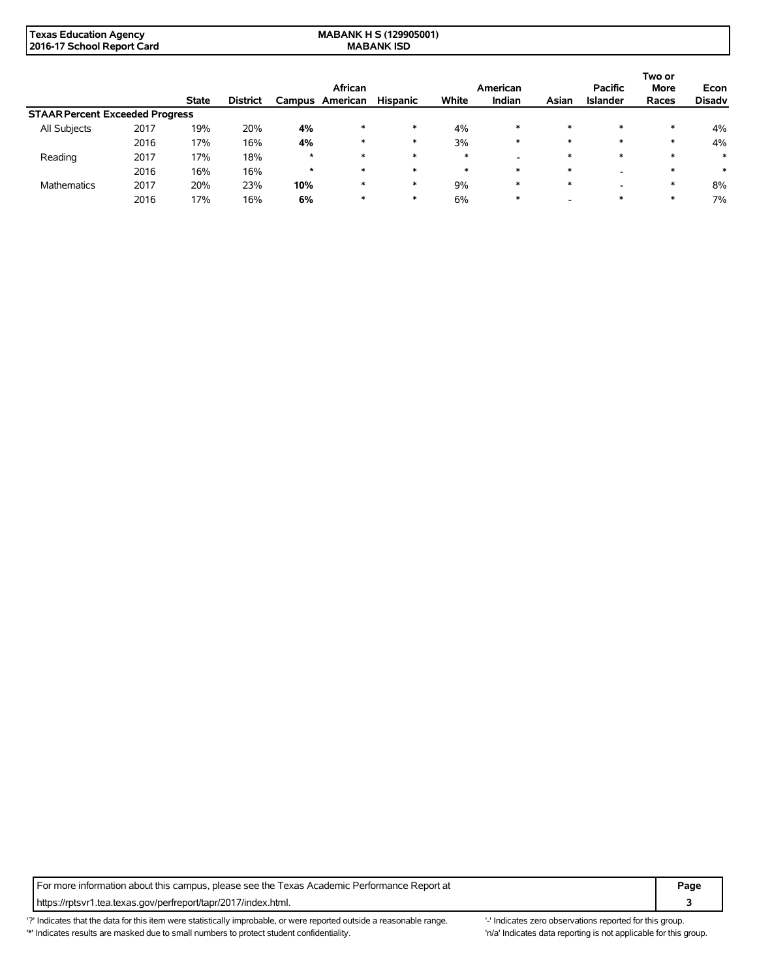| Texas Education Agency     | <b>MABANK H S (129905001)</b> |
|----------------------------|-------------------------------|
| 2016-17 School Report Card | <b>MABANK ISD</b>             |

|                                        |      |              |                 |         | African  |                 |        | American |        | <b>Pacific</b>  | Two or<br><b>More</b> | Econ          |
|----------------------------------------|------|--------------|-----------------|---------|----------|-----------------|--------|----------|--------|-----------------|-----------------------|---------------|
|                                        |      | <b>State</b> | <b>District</b> | Campus  | American | <b>Hispanic</b> | White  | Indian   | Asian  | <b>Islander</b> | Races                 | <b>Disadv</b> |
| <b>STAAR Percent Exceeded Progress</b> |      |              |                 |         |          |                 |        |          |        |                 |                       |               |
| All Subjects                           | 2017 | 19%          | 20%             | 4%      | $\ast$   | $\ast$          | 4%     | $\ast$   | $\ast$ | $\ast$          | $\ast$                | 4%            |
|                                        | 2016 | 17%          | 16%             | 4%      | $\ast$   | $\ast$          | 3%     | $\ast$   | $\ast$ | $\ast$          | $\ast$                | 4%            |
| Reading                                | 2017 | 17%          | 18%             | $\star$ | $\ast$   | $\ast$          | $\ast$ | -        | $\ast$ | $\ast$          | $\ast$                | $\ast$        |
|                                        | 2016 | 16%          | 16%             | $\star$ | $\ast$   | $\ast$          | $\ast$ | $\ast$   | $\ast$ |                 | $\ast$                | ∗             |
| <b>Mathematics</b>                     | 2017 | 20%          | 23%             | 10%     | *        | $\ast$          | 9%     | $\ast$   | $\ast$ |                 | $\ast$                | 8%            |
|                                        | 2016 | 17%          | 16%             | 6%      |          | $\ast$          | 6%     | $\ast$   |        | $\ast$          |                       | 7%            |

For more information about this campus, please see the Texas Academic Performance Report at **Page Page** https://rptsvr1.tea.texas.gov/perfreport/tapr/2017/index.html. **3**

'?' Indicates that the data for this item were statistically improbable, or were reported outside a reasonable range. '-' Indicates zero observations reported for this group. '\*' Indicates results are masked due to small numbers to protect student confidentiality. 'n/a' Indicates data reporting is not applicable for this group.